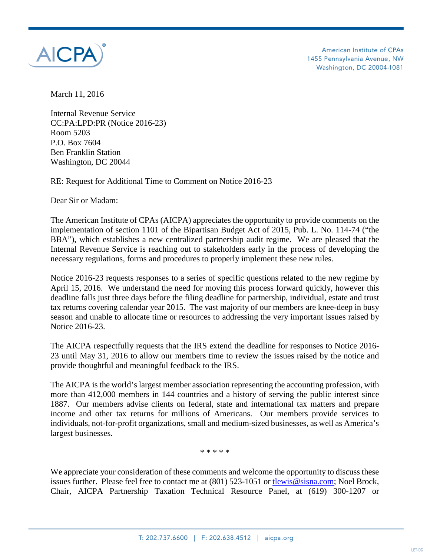

American Institute of CPAs 1455 Pennsylvania Avenue, NW Washington, DC 20004-1081

March 11, 2016

Internal Revenue Service CC:PA:LPD:PR (Notice 2016-23) Room 5203 P.O. Box 7604 Ben Franklin Station Washington, DC 20044

RE: Request for Additional Time to Comment on Notice 2016-23

Dear Sir or Madam:

The American Institute of CPAs (AICPA) appreciates the opportunity to provide comments on the implementation of section 1101 of the Bipartisan Budget Act of 2015, Pub. L. No. 114-74 ("the BBA"), which establishes a new centralized partnership audit regime. We are pleased that the Internal Revenue Service is reaching out to stakeholders early in the process of developing the necessary regulations, forms and procedures to properly implement these new rules.

Notice 2016-23 requests responses to a series of specific questions related to the new regime by April 15, 2016. We understand the need for moving this process forward quickly, however this deadline falls just three days before the filing deadline for partnership, individual, estate and trust tax returns covering calendar year 2015. The vast majority of our members are knee-deep in busy season and unable to allocate time or resources to addressing the very important issues raised by Notice 2016-23.

The AICPA respectfully requests that the IRS extend the deadline for responses to Notice 2016- 23 until May 31, 2016 to allow our members time to review the issues raised by the notice and provide thoughtful and meaningful feedback to the IRS.

The AICPA is the world's largest member association representing the accounting profession, with more than 412,000 members in 144 countries and a history of serving the public interest since 1887. Our members advise clients on federal, state and international tax matters and prepare income and other tax returns for millions of Americans. Our members provide services to individuals, not-for-profit organizations, small and medium-sized businesses, as well as America's largest businesses.

\* \* \* \* \*

We appreciate your consideration of these comments and welcome the opportunity to discuss these issues further. Please feel free to contact me at (801) 523-1051 or the wis@sisna.com; Noel Brock, Chair, AICPA Partnership Taxation Technical Resource Panel, at (619) 300-1207 or